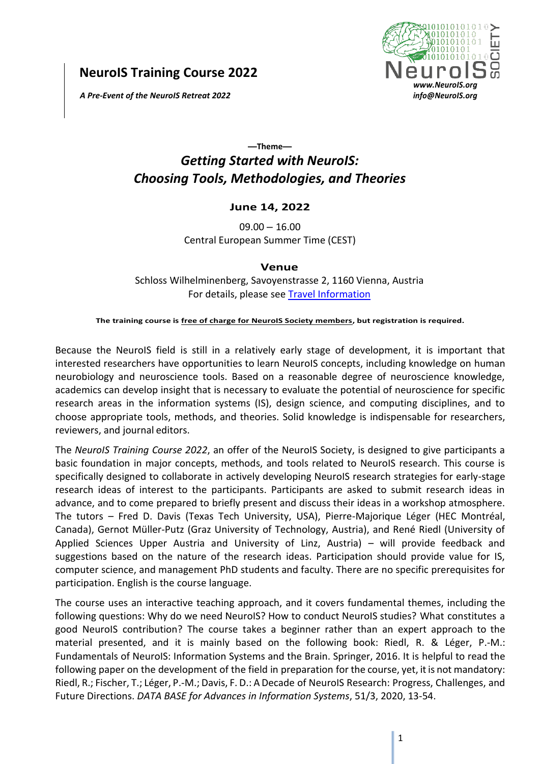**NeuroIS Training Course 2022**

*A Pre-Event of the NeuroIS Retreat 2022*



## **—Theme—** *Getting Started with NeuroIS: Choosing Tools, Methodologies, and Theories*

## **June 14, 2022**

 $09.00 - 16.00$ Central European Summer Time (CEST)

## **Venue**

Schloss Wilhelminenberg, Savoyenstrasse 2, 1160 Vienna, Austria For details, please see [Travel Information](http://www.neurois.org/travel-information/)

**The training course is free of charge for NeuroIS Society members, but registration is required.**

Because the NeuroIS field is still in a relatively early stage of development, it is important that interested researchers have opportunities to learn NeuroIS concepts, including knowledge on human neurobiology and neuroscience tools. Based on a reasonable degree of neuroscience knowledge, academics can develop insight that is necessary to evaluate the potential of neuroscience for specific research areas in the information systems (IS), design science, and computing disciplines, and to choose appropriate tools, methods, and theories. Solid knowledge is indispensable for researchers, reviewers, and journal editors.

The *NeuroIS Training Course 2022*, an offer of the NeuroIS Society, is designed to give participants a basic foundation in major concepts, methods, and tools related to NeuroIS research. This course is specifically designed to collaborate in actively developing NeuroIS research strategies for early-stage research ideas of interest to the participants. Participants are asked to submit research ideas in advance, and to come prepared to briefly present and discuss their ideas in a workshop atmosphere. The tutors – Fred D. Davis (Texas Tech University, USA), Pierre-Majorique Léger (HEC Montréal, Canada), Gernot Müller-Putz (Graz University of Technology, Austria), and René Riedl (University of Applied Sciences Upper Austria and University of Linz, Austria) – will provide feedback and suggestions based on the nature of the research ideas. Participation should provide value for IS, computer science, and management PhD students and faculty. There are no specific prerequisites for participation. English is the course language.

The course uses an interactive teaching approach, and it covers fundamental themes, including the following questions: Why do we need NeuroIS? How to conduct NeuroIS studies? What constitutes a good NeuroIS contribution? The course takes a beginner rather than an expert approach to the material presented, and it is mainly based on the following book: Riedl, R. & Léger, P.-M.: Fundamentals of NeuroIS: Information Systems and the Brain. Springer, 2016. It is helpful to read the following paper on the development of the field in preparation for the course, yet, it is not mandatory: Riedl, R.; Fischer, T.; Léger, P.-M.; Davis, F. D.: A Decade of NeuroIS Research: Progress, Challenges, and Future Directions. *DATA BASE for Advances in Information Systems*, 51/3, 2020, 13-54.